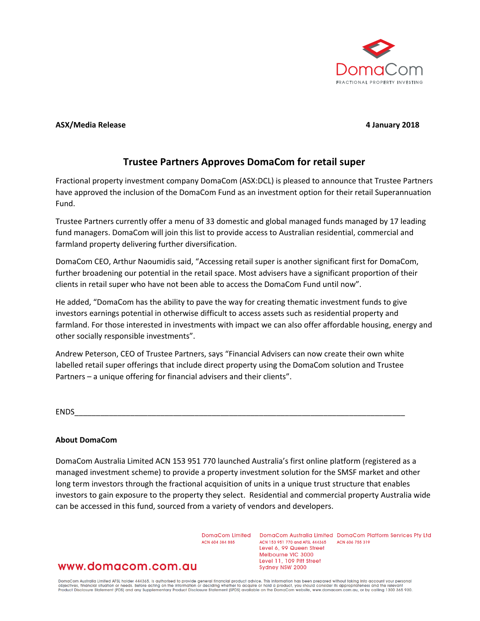

## **ASX/Media Release 4 January 2018**

# **Trustee Partners Approves DomaCom for retail super**

Fractional property investment company DomaCom (ASX:DCL) is pleased to announce that Trustee Partners have approved the inclusion of the DomaCom Fund as an investment option for their retail Superannuation Fund.

Trustee Partners currently offer a menu of 33 domestic and global managed funds managed by 17 leading fund managers. DomaCom will join this list to provide access to Australian residential, commercial and farmland property delivering further diversification.

DomaCom CEO, Arthur Naoumidis said, "Accessing retail super is another significant first for DomaCom, further broadening our potential in the retail space. Most advisers have a significant proportion of their clients in retail super who have not been able to access the DomaCom Fund until now".

He added, "DomaCom has the ability to pave the way for creating thematic investment funds to give investors earnings potential in otherwise difficult to access assets such as residential property and farmland. For those interested in investments with impact we can also offer affordable housing, energy and other socially responsible investments".

Andrew Peterson, CEO of Trustee Partners, says "Financial Advisers can now create their own white labelled retail super offerings that include direct property using the DomaCom solution and Trustee Partners – a unique offering for financial advisers and their clients".

ENDS\_\_\_\_\_\_\_\_\_\_\_\_\_\_\_\_\_\_\_\_\_\_\_\_\_\_\_\_\_\_\_\_\_\_\_\_\_\_\_\_\_\_\_\_\_\_\_\_\_\_\_\_\_\_\_\_\_\_\_\_\_\_\_\_\_\_\_\_\_\_\_\_\_\_\_\_\_

# **About DomaCom**

DomaCom Australia Limited ACN 153 951 770 launched Australia's first online platform (registered as a managed investment scheme) to provide a property investment solution for the SMSF market and other long term investors through the fractional acquisition of units in a unique trust structure that enables investors to gain exposure to the property they select. Residential and commercial property Australia wide can be accessed in this fund, sourced from a variety of vendors and developers.

ACN 604 384 885

DomaCom Limited DomaCom Australia Limited DomaCom Platform Services Pty Ltd ACN 153 951 770 and AFSL 444365 ACN 606 755 319 Level 6, 99 Queen Street Melbourne VIC 3000 Level 11, 109 Pitt Street Sydney NSW 2000

# www.domacom.com.au

DomaCom Australia Limited AFSL holder 444365, is authorised to provide general financial product advice. This information has been prepared without taking into account your personal<br>objectives, financial situation or needs